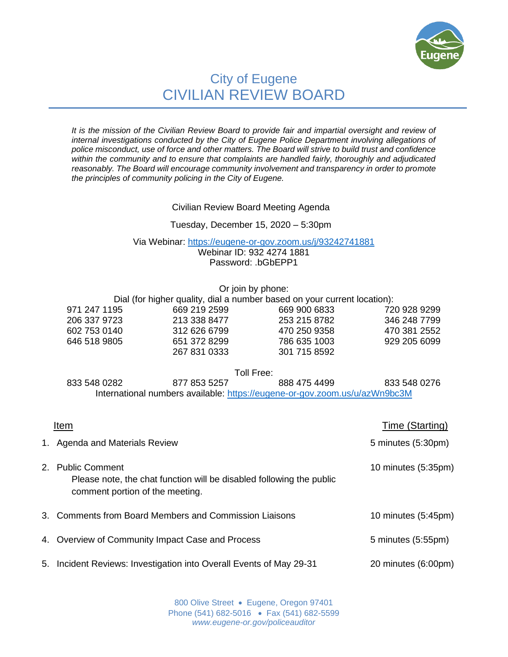

# City of Eugene CIVILIAN REVIEW BOARD

*It is the mission of the Civilian Review Board to provide fair and impartial oversight and review of internal investigations conducted by the City of Eugene Police Department involving allegations of police misconduct, use of force and other matters. The Board will strive to build trust and confidence within the community and to ensure that complaints are handled fairly, thoroughly and adjudicated reasonably. The Board will encourage community involvement and transparency in order to promote the principles of community policing in the City of Eugene.*

### Civilian Review Board Meeting Agenda

#### Tuesday, December 15, 2020 – 5:30pm

Via Webinar: <https://eugene-or-gov.zoom.us/j/93242741881>

Webinar ID: 932 4274 1881 Password: .bGbEPP1

#### Or join by phone:

Dial (for higher quality, dial a number based on your current location):

971 247 1195 669 219 2599 669 900 6833 720 928 9299

267 831 0333 301 715 8592

206 337 9723 213 338 8477 253 215 8782 346 248 7799 602 753 0140 312 626 6799 470 250 9358 470 381 2552 646 518 9805 651 372 8299 786 635 1003 929 205 6099

Toll Free:

833 548 0282 877 853 5257 888 475 4499 833 548 0276 International numbers available:<https://eugene-or-gov.zoom.us/u/azWn9bc3M>

| Item                                                                                                                         | Time (Starting)     |
|------------------------------------------------------------------------------------------------------------------------------|---------------------|
| 1. Agenda and Materials Review                                                                                               | 5 minutes (5:30pm)  |
| 2. Public Comment<br>Please note, the chat function will be disabled following the public<br>comment portion of the meeting. | 10 minutes (5:35pm) |
| 3. Comments from Board Members and Commission Liaisons                                                                       | 10 minutes (5:45pm) |
| 4. Overview of Community Impact Case and Process                                                                             | 5 minutes (5:55pm)  |
| 5. Incident Reviews: Investigation into Overall Events of May 29-31                                                          | 20 minutes (6:00pm) |

800 Olive Street • Eugene, Oregon 97401 Phone (541) 682-5016 • Fax (541) 682-5599 *www.eugene-or.gov/policeauditor*